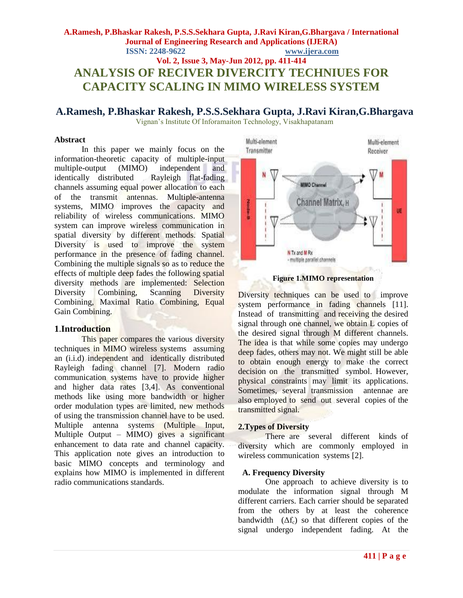## **A.Ramesh, P.Bhaskar Rakesh, P.S.S.Sekhara Gupta, J.Ravi Kiran,G.Bhargava / International Journal of Engineering Research and Applications (IJERA) ISSN: 2248-9622 www.ijera.com Vol. 2, Issue 3, May-Jun 2012, pp. 411-414 ANALYSIS OF RECIVER DIVERCITY TECHNIUES FOR**

# **CAPACITY SCALING IN MIMO WIRELESS SYSTEM**

# **A.Ramesh, P.Bhaskar Rakesh, P.S.S.Sekhara Gupta, J.Ravi Kiran,G.Bhargava**

Vignan's Institute Of Inforamaiton Technology, Visakhapatanam

## **Abstract**

In this paper we mainly focus on the information-theoretic capacity of multiple-input multiple-output (MIMO) independent and identically distributed Rayleigh flat-fading channels assuming equal power allocation to each of the transmit antennas. Multiple-antenna systems, MIMO improves the capacity and reliability of wireless communications. MIMO system can improve wireless communication in spatial diversity by different methods. Spatial Diversity is used to improve the system performance in the presence of fading channel. Combining the multiple signals so as to reduce the effects of multiple deep fades the following spatial diversity methods are implemented: Selection Diversity Combining, Scanning Diversity Combining, Maximal Ratio Combining, Equal Gain Combining.

## **1**.**Introduction**

This paper compares the various diversity techniques in MIMO wireless systems assuming an (i.i.d) independent and identically distributed Rayleigh fading channel [7]. Modern radio communication systems have to provide higher and higher data rates [3,4]. As conventional methods like using more bandwidth or higher order modulation types are limited, new methods of using the transmission channel have to be used. Multiple antenna systems (Multiple Input, Multiple Output – MIMO) gives a significant enhancement to data rate and channel capacity. This application note gives an introduction to basic MIMO concepts and terminology and explains how MIMO is implemented in different radio communications standards.



**Figure 1.MIMO representation**

Diversity techniques can be used to improve system performance in fading channels [11]. Instead of transmitting and receiving the desired signal through one channel, we obtain L copies of the desired signal through M different channels. The idea is that while some copies may undergo deep fades, others may not. We might still be able to obtain enough energy to make the correct decision on the transmitted symbol. However, physical constraints may limit its applications. Sometimes, several transmission antennae are also employed to send out several copies of the transmitted signal.

## **2.Types of Diversity**

There are several different kinds of diversity which are commonly employed in wireless communication systems [2].

## **A. Frequency Diversity**

One approach to achieve diversity is to modulate the information signal through M different carriers. Each carrier should be separated from the others by at least the coherence bandwidth  $( \Delta f_c )$  so that different copies of the signal undergo independent fading. At the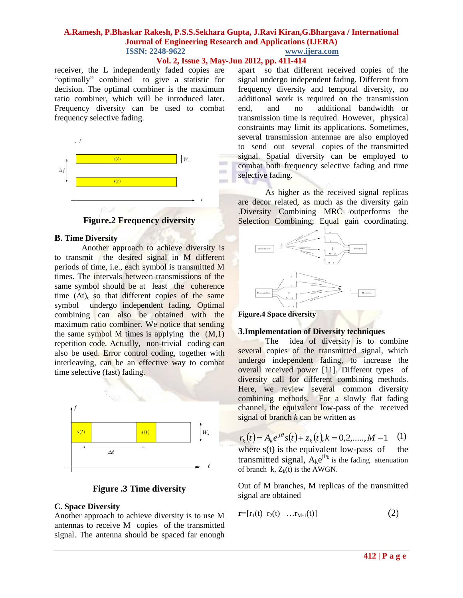#### **A.Ramesh, P.Bhaskar Rakesh, P.S.S.Sekhara Gupta, J.Ravi Kiran,G.Bhargava / International Journal of Engineering Research and Applications (IJERA) ISSN: 2248-9622 www.ijera.com**

## **Vol. 2, Issue 3, May-Jun 2012, pp. 411-414**

 $\sim$ 

 $\sim$ 

**COLOR** 

receiver, the L independently faded copies are "optimally" combined to give a statistic for decision. The optimal combiner is the maximum ratio combiner, which will be introduced later. Frequency diversity can be used to combat frequency selective fading.



**Figure.2 Frequency diversity**

## **B. Time Diversity**

Another approach to achieve diversity is to transmit the desired signal in M different periods of time, i.e., each symbol is transmitted M times. The intervals between transmissions of the same symbol should be at least the coherence time  $(\Delta t)$ <sub>c</sub> so that different copies of the same symbol undergo independent fading. Optimal combining can also be obtained with the maximum ratio combiner. We notice that sending the same symbol M times is applying the  $(M,1)$ repetition code. Actually, non-trivial coding can also be used. Error control coding, together with interleaving, can be an effective way to combat time selective (fast) fading.



## **Figure .3 Time diversity**

## **C. Space Diversity**

Another approach to achieve diversity is to use M antennas to receive M copies of the transmitted signal. The antenna should be spaced far enough apart so that different received copies of the signal undergo independent fading. Different from frequency diversity and temporal diversity, no additional work is required on the transmission end, and no additional bandwidth or transmission time is required. However, physical constraints may limit its applications. Sometimes, several transmission antennae are also employed to send out several copies of the transmitted signal. Spatial diversity can be employed to combat both frequency selective fading and time selective fading.

As higher as the received signal replicas are decor related, as much as the diversity gain .Diversity Combining MRC outperforms the Selection Combining; Equal gain coordinating.



#### **Figure.4 Space diversity**

#### **3.Implementation of Diversity techniques**

The idea of diversity is to combine several copies of the transmitted signal, which undergo independent fading, to increase the overall received power [11]. Different types of diversity call for different combining methods. Here, we review several common diversity combining methods. For a slowly flat fading channel, the equivalent low-pass of the received signal of branch *k* can be written as

$$
r_k(t) = A_k e^{j\theta} s(t) + z_k(t), k = 0, 2, \dots, M - 1 \quad (1)
$$
  
where  $s(t)$  is the equivalent low-

where  $s(t)$  is the equivalent low-pass of transmitted signal,  $A_k e^{j\theta_k}$  is the fading attenuation of branch k,  $Z_k(t)$  is the AWGN.

Out of M branches, M replicas of the transmitted signal are obtained

$$
\mathbf{r}=[r_1(t) \;\; r_2(t) \;\; \ldots r_{M-1}(t)] \tag{2}
$$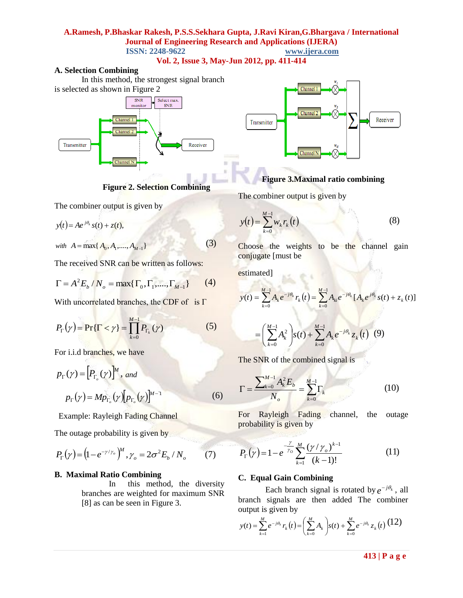#### **A.Ramesh, P.Bhaskar Rakesh, P.S.S.Sekhara Gupta, J.Ravi Kiran,G.Bhargava / International Journal of Engineering Research and Applications (IJERA) ISSN: 2248-9622 www.ijera.com**

**Vol. 2, Issue 3, May-Jun 2012, pp. 411-414**

 $\equiv$ 

#### **A. Selection Combining**

In this method, the strongest signal branch is selected as shown in Figure 2



**Figure 2. Selection Combining**

The combiner output is given by

*y*(*t*) = *Ae*<sup>*j* $\theta$ <sub>*i*</sub></sup> *s*(*t*) + *z*(*t*),

*with*  $A = \max\{ A_0, A_1, ..., A_{M-1} \}$ 

The received SNR can be written as follows:

$$
\Gamma = A^2 E_b / N_o = \max\{\Gamma_0, \Gamma_1, \dots, \Gamma_{M-1}\}
$$
 (4)

With uncorrelated branches, the CDF of is  $\Gamma$ 

$$
P_{\Gamma}(\gamma) = \Pr{\Gamma < \gamma} = \prod_{k=0}^{M-1} P_{\Gamma_k}(\gamma) \tag{5}
$$

For i.i.d branches, we have

$$
p_{\Gamma}(\gamma) = [P_{\Gamma_o}(\gamma)]^M, \text{ and}
$$

$$
p_{\Gamma}(\gamma) = M p_{\Gamma_o}(\gamma) [p_{\Gamma_o}(\gamma)]^{M-1}
$$
(6)

Example: Rayleigh Fading Channel

The outage probability is given by

$$
P_{\Gamma}(\gamma) = (1 - e^{-\gamma/\gamma_o})^M, \gamma_o = 2\sigma^2 E_b / N_o \qquad (7)
$$

## **B. Maximal Ratio Combining**

In this method, the diversity branches are weighted for maximum SNR [8] as can be seen in Figure 3.



## **Figure 3.Maximal ratio combining**

The combiner output is given by

$$
y(t) = \sum_{k=0}^{M-1} w_k r_k(t)
$$
 (8)

Choose the weights to be the channel gain conjugate [must be

estimated] all be

(3)

$$
y(t) = \sum_{k=0}^{M-1} A_k e^{-j\theta_k} r_k(t) = \sum_{k=0}^{M-1} A_{ki} e^{-j\theta_k} [A_k e^{j\theta_k} s(t) + z_k(t)]
$$

**Contract Contract Contract Contract Contract** 

$$
= \left(\sum_{k=0}^{M-1} A_k^2\right) s(t) + \sum_{k=0}^{M-1} A_k e^{-j\theta_k} z_k(t) \tag{9}
$$

The SNR of the combined signal is

$$
\Gamma = \frac{\sum_{k=0}^{M-1} A_k^2 E_b}{N_o} = \sum_{k=0}^{M-1} \Gamma_k
$$
 (10)

For Rayleigh Fading channel, the outage probability is given by

$$
P_{\Gamma}(\gamma) = 1 - e^{-\frac{\gamma}{\gamma_o}} \sum_{k=1}^{M} \frac{(\gamma/\gamma_o)^{k-1}}{(k-1)!}
$$
 (11)

## **C. Equal Gain Combining**

Each branch signal is rotated by  $e^{-j\theta_k}$ , all branch signals are then added The combiner output is given by

$$
y(t) = \sum_{k=1}^{M} e^{-j\theta_k} r_k(t) = \left(\sum_{k=0}^{M} A_k\right) s(t) + \sum_{k=0}^{M} e^{-j\theta_k} z_k(t) \tag{12}
$$